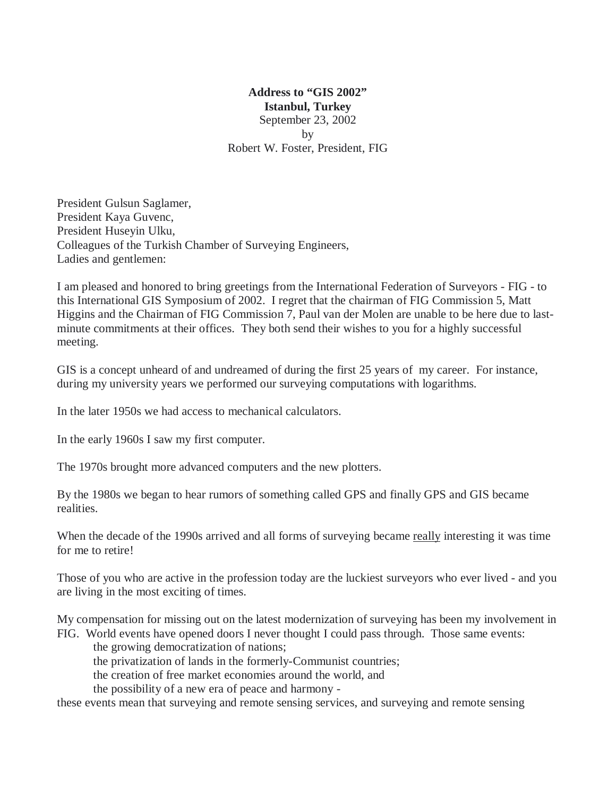## **Address to "GIS 2002" Istanbul, Turkey** September 23, 2002 by Robert W. Foster, President, FIG

President Gulsun Saglamer, President Kaya Guvenc, President Huseyin Ulku, Colleagues of the Turkish Chamber of Surveying Engineers, Ladies and gentlemen:

I am pleased and honored to bring greetings from the International Federation of Surveyors - FIG - to this International GIS Symposium of 2002. I regret that the chairman of FIG Commission 5, Matt Higgins and the Chairman of FIG Commission 7, Paul van der Molen are unable to be here due to lastminute commitments at their offices. They both send their wishes to you for a highly successful meeting.

GIS is a concept unheard of and undreamed of during the first 25 years of my career. For instance, during my university years we performed our surveying computations with logarithms.

In the later 1950s we had access to mechanical calculators.

In the early 1960s I saw my first computer.

The 1970s brought more advanced computers and the new plotters.

By the 1980s we began to hear rumors of something called GPS and finally GPS and GIS became realities.

When the decade of the 1990s arrived and all forms of surveying became really interesting it was time for me to retire!

Those of you who are active in the profession today are the luckiest surveyors who ever lived - and you are living in the most exciting of times.

My compensation for missing out on the latest modernization of surveying has been my involvement in FIG. World events have opened doors I never thought I could pass through. Those same events:

the growing democratization of nations;

the privatization of lands in the formerly-Communist countries;

the creation of free market economies around the world, and

the possibility of a new era of peace and harmony -

these events mean that surveying and remote sensing services, and surveying and remote sensing